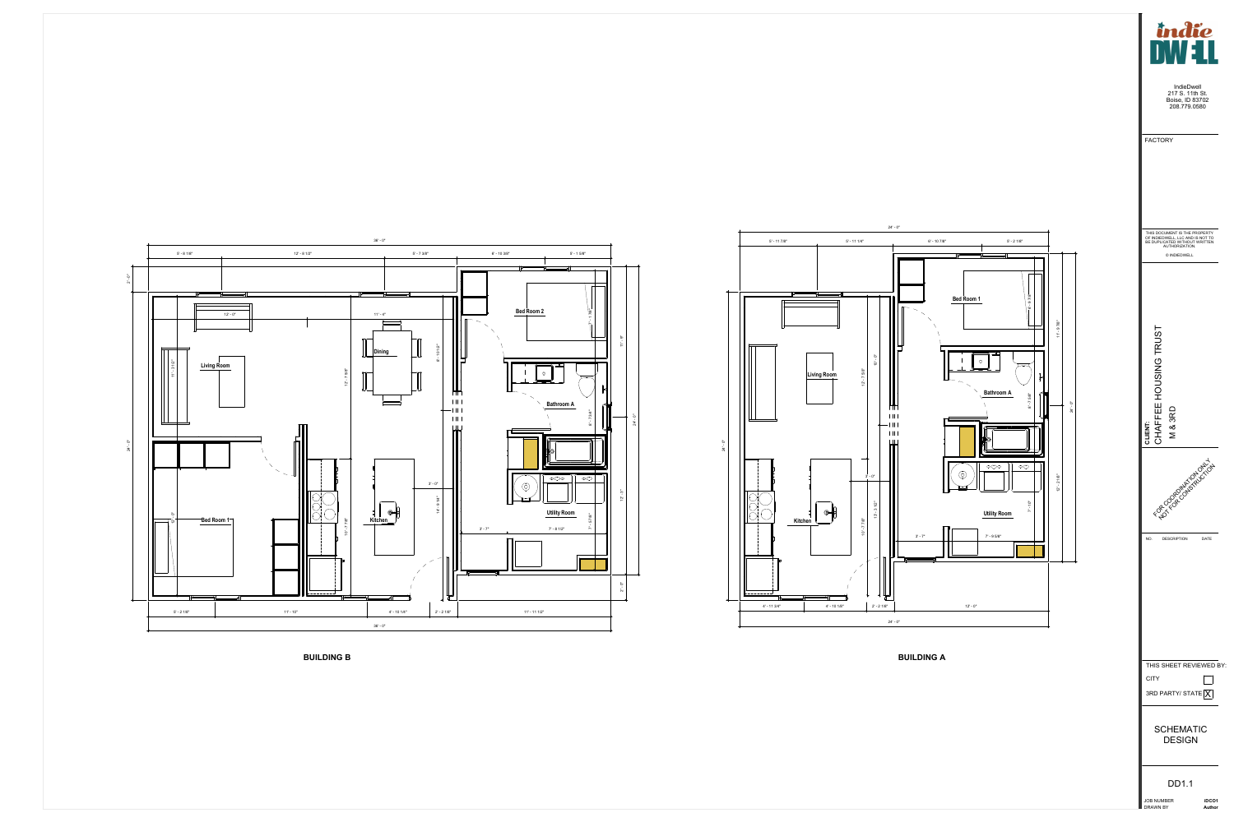

JOB NUMBER



DRAWN BY

**iDCO1 Author**

SCHEMATIC DESIGN

DD1.1